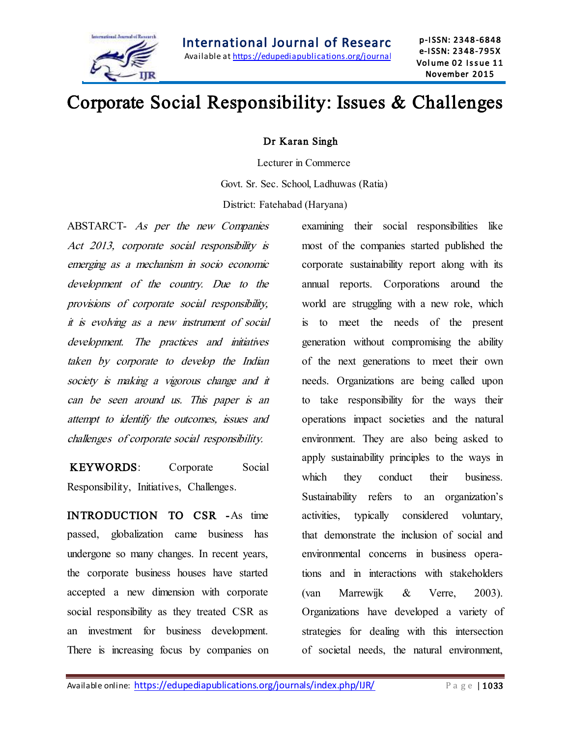

# Corporate Social Responsibility: Issues & Challenges

#### Dr Karan Singh

Lecturer in Commerce

Govt. Sr. Sec. School, Ladhuwas (Ratia)

District: Fatehabad (Haryana)

ABSTARCT- As per the new Companies Act 2013, corporate social responsibility is emerging as a mechanism in socio economic development of the country. Due to the provisions of corporate social responsibility, it is evolving as a new instrument of social development. The practices and initiatives taken by corporate to develop the Indian society is making a vigorous change and it can be seen around us. This paper is an attempt to identify the outcomes, issues and challenges of corporate social responsibility.

KEYWORDS: Corporate Social Responsibility, Initiatives, Challenges.

INTRODUCTION TO CSR -As time passed, globalization came business has undergone so many changes. In recent years, the corporate business houses have started accepted a new dimension with corporate social responsibility as they treated CSR as an investment for business development. There is increasing focus by companies on examining their social responsibilities like most of the companies started published the corporate sustainability report along with its annual reports. Corporations around the world are struggling with a new role, which is to meet the needs of the present generation without compromising the ability of the next generations to meet their own needs. Organizations are being called upon to take responsibility for the ways their operations impact societies and the natural environment. They are also being asked to apply sustainability principles to the ways in which they conduct their business. Sustainability refers to an organization's activities, typically considered voluntary, that demonstrate the inclusion of social and environmental concerns in business operations and in interactions with stakeholders (van Marrewijk & Verre, 2003). Organizations have developed a variety of strategies for dealing with this intersection of societal needs, the natural environment,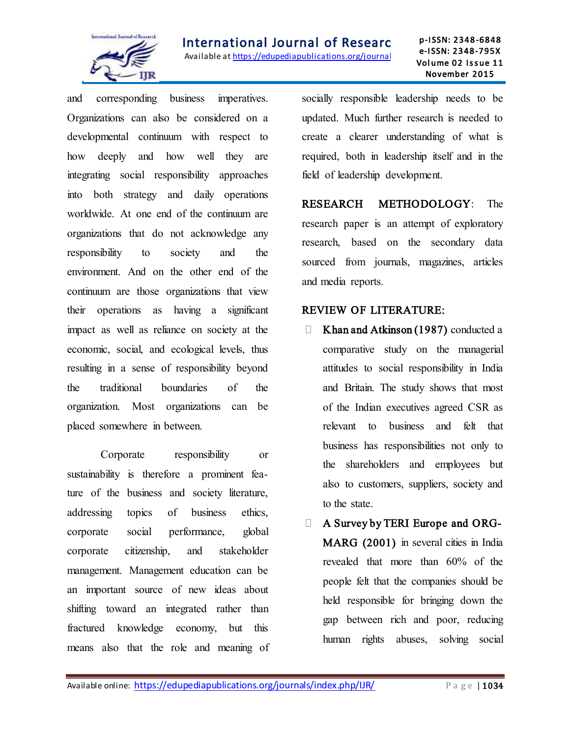

and corresponding business imperatives. Organizations can also be considered on a developmental continuum with respect to how deeply and how well they are integrating social responsibility approaches into both strategy and daily operations worldwide. At one end of the continuum are organizations that do not acknowledge any responsibility to society and the environment. And on the other end of the continuum are those organizations that view their operations as having a significant impact as well as reliance on society at the economic, social, and ecological levels, thus resulting in a sense of responsibility beyond the traditional boundaries of the organization. Most organizations can be placed somewhere in between.

Corporate responsibility or sustainability is therefore a prominent feature of the business and society literature, addressing topics of business ethics, corporate social performance, global corporate citizenship, and stakeholder management. Management education can be an important source of new ideas about shifting toward an integrated rather than fractured knowledge economy, but this means also that the role and meaning of socially responsible leadership needs to be updated. Much further research is needed to create a clearer understanding of what is required, both in leadership itself and in the field of leadership development.

RESEARCH METHODOLOGY: The research paper is an attempt of exploratory research, based on the secondary data sourced from journals, magazines, articles and media reports.

#### REVIEW OF LITERATURE:

- **Khan and Atkinson (1987)** conducted a comparative study on the managerial attitudes to social responsibility in India and Britain. The study shows that most of the Indian executives agreed CSR as relevant to business and felt that business has responsibilities not only to the shareholders and employees but also to customers, suppliers, society and to the state.
- A Survey by TERI Europe and ORG-MARG (2001) in several cities in India revealed that more than 60% of the people felt that the companies should be held responsible for bringing down the gap between rich and poor, reducing human rights abuses, solving social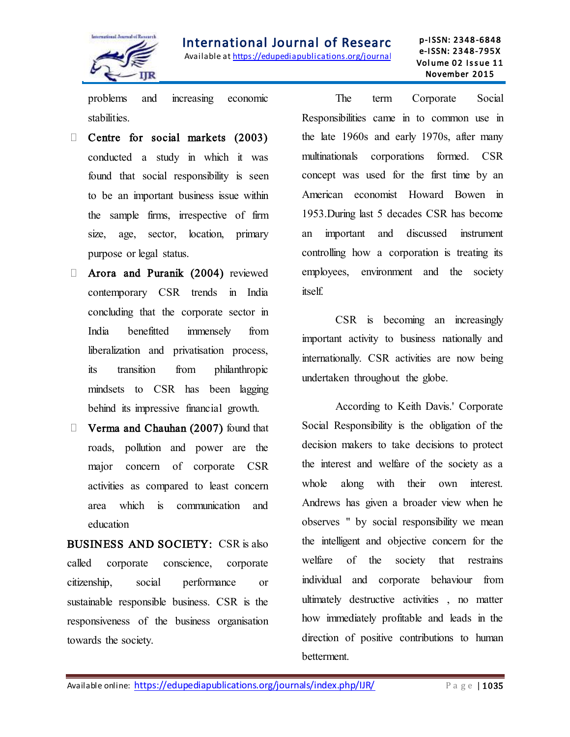

#### p-I SSN: 2348 -6848 e-I SSN: 2348-795X Volume 02 Issue 11 November 2015

problems and increasing economic stabilities.

- Centre for social markets (2003) conducted a study in which it was found that social responsibility is seen to be an important business issue within the sample firms, irrespective of firm size, age, sector, location, primary purpose or legal status.
- Arora and Puranik (2004) reviewed contemporary CSR trends in India concluding that the corporate sector in India benefitted immensely from liberalization and privatisation process, its transition from philanthropic mindsets to CSR has been lagging behind its impressive financial growth.
- $\Box$  Verma and Chauhan (2007) found that roads, pollution and power are the major concern of corporate CSR activities as compared to least concern area which is communication and education

BUSINESS AND SOCIETY: CSR is also called corporate conscience, corporate citizenship, social performance or sustainable responsible business. CSR is the responsiveness of the business organisation towards the society.

The term Corporate Social Responsibilities came in to common use in the late 1960s and early 1970s, after many multinationals corporations formed. CSR concept was used for the first time by an American economist Howard Bowen in 1953.During last 5 decades CSR has become an important and discussed instrument controlling how a corporation is treating its employees, environment and the society itself.

CSR is becoming an increasingly important activity to business nationally and internationally. CSR activities are now being undertaken throughout the globe.

According to Keith Davis.' Corporate Social Responsibility is the obligation of the decision makers to take decisions to protect the interest and welfare of the society as a whole along with their own interest. Andrews has given a broader view when he observes " by social responsibility we mean the intelligent and objective concern for the welfare of the society that restrains individual and corporate behaviour from ultimately destructive activities , no matter how immediately profitable and leads in the direction of positive contributions to human betterment.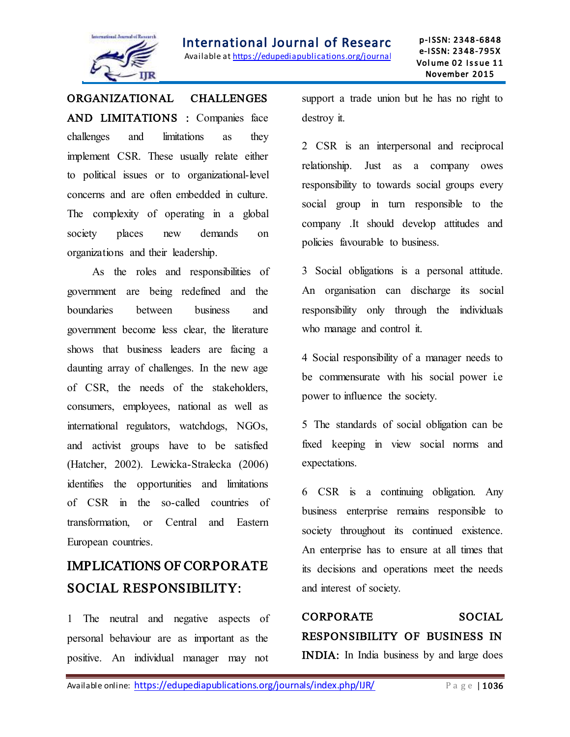

## ORGANIZATIONAL CHALLENGES AND LIMITATIONS : Companies face challenges and limitations as they

implement CSR. These usually relate either to political issues or to organizational-level concerns and are often embedded in culture. The complexity of operating in a global society places new demands on organizations and their leadership.

As the roles and responsibilities of government are being redefined and the boundaries between business and government become less clear, the literature shows that business leaders are facing a daunting array of challenges. In the new age of CSR, the needs of the stakeholders, consumers, employees, national as well as international regulators, watchdogs, NGOs, and activist groups have to be satisfied (Hatcher, 2002). Lewicka-Stralecka (2006) identifies the opportunities and limitations of CSR in the so-called countries of transformation, or Central and Eastern European countries.

## IMPLICATIONS OF CORPORATE SOCIAL RESPONSIBILITY:

1 The neutral and negative aspects of personal behaviour are as important as the positive. An individual manager may not

support a trade union but he has no right to destroy it.

2 CSR is an interpersonal and reciprocal relationship. Just as a company owes responsibility to towards social groups every social group in turn responsible to the company .It should develop attitudes and policies favourable to business.

3 Social obligations is a personal attitude. An organisation can discharge its social responsibility only through the individuals who manage and control it.

4 Social responsibility of a manager needs to be commensurate with his social power i.e power to influence the society.

5 The standards of social obligation can be fixed keeping in view social norms and expectations.

6 CSR is a continuing obligation. Any business enterprise remains responsible to society throughout its continued existence. An enterprise has to ensure at all times that its decisions and operations meet the needs and interest of society.

CORPORATE SOCIAL RESPONSIBILITY OF BUSINESS IN INDIA: In India business by and large does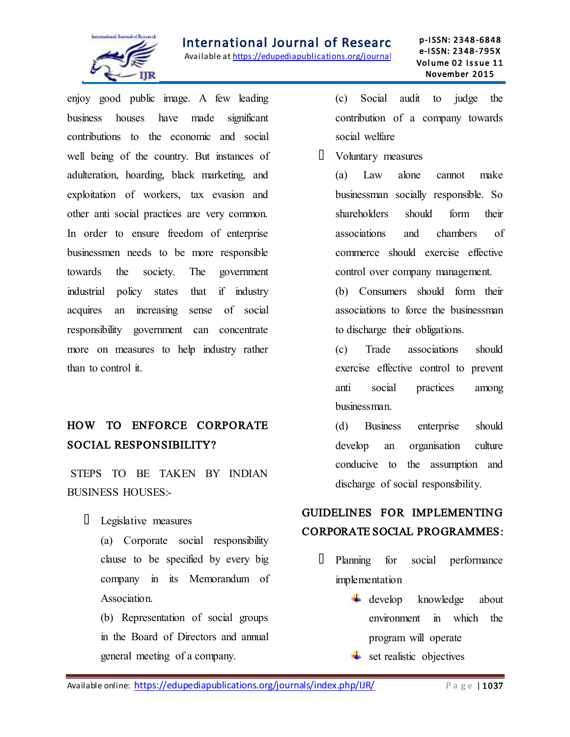

enjoy good public image. A few leading business houses have made significant contributions to the economic and social well being of the country. But instances of adulteration, hoarding, black marketing, and exploitation of workers, tax evasion and other anti social practices are very common. In order to ensure freedom of enterprise businessmen needs to be more responsible towards the society. The government industrial policy states that if industry acquires an increasing sense of social responsibility government can concentrate more on measures to help industry rather than to control it.

## HOW TO ENFORCE CORPORATE SOCIAL RESPONSIBILITY?

 STEPS TO BE TAKEN BY INDIAN BUSINESS HOUSES:-

- Legislative measures
	- (a) Corporate social responsibility clause to be specified by every big company in its Memorandum of Association.
	- (b) Representation of social groups in the Board of Directors and annual general meeting of a company.

(c) Social audit to judge the contribution of a company towards social welfare

Voluntary measures

(a) Law alone cannot make businessman socially responsible. So shareholders should form their associations and chambers of commerce should exercise effective control over company management.

(b) Consumers should form their associations to force the businessman to discharge their obligations.

(c) Trade associations should exercise effective control to prevent anti social practices among businessman.

(d) Business enterprise should develop an organisation culture conducive to the assumption and discharge of social responsibility.

## GUIDELINES FOR IMPLEMENTING CORPORATE SOCIAL PROGRAMMES:

- Planning for social performance implementation
	- $\overline{\phantom{a}}$  develop knowledge about environment in which the program will operate
	- $\overline{\phantom{a}}$  set realistic objectives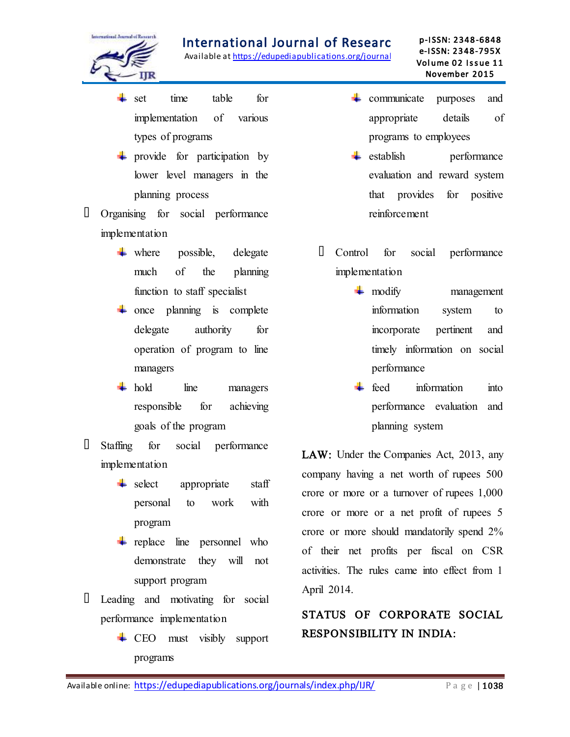

#### International Journal of Research

Available at https://edupediapublications.org/journal

p-I SSN: 2348 -6848 e-I SSN: 2348-795X Volume 02 Issue 11 November 2015

- 4 set time table for implementation of various types of programs
- $\downarrow$  provide for participation by lower level managers in the planning process
- Organising for social performance implementation
	- $\overline{\text{L}}$  where possible, delegate much of the planning function to staff specialist
	- $\overline{\phantom{a}}$  once planning is complete delegate authority for operation of program to line managers
	- $\downarrow$  hold line managers responsible for achieving goals of the program
- I Staffing for social performance implementation
	- $\overline{\phantom{a}}$  select appropriate staff personal to work with program
	- $\div$  replace line personnel who demonstrate they will not support program
- Leading and motivating for social performance implementation
	- + CEO must visibly support programs
- $\overline{\text{+}}$  communicate purposes and appropriate details of programs to employees
- $\overline{\phantom{a}}$  establish performance evaluation and reward system that provides for positive reinforcement
- Control for social performance implementation
	- $\qquad$  modify management information system to incorporate pertinent and timely information on social performance
	- $\div$  feed information into performance evaluation and planning system

LAW: Under the [Companies Act, 2013,](http://en.wikipedia.org/wiki/Companies_Act,_2013) any company having a net worth of rupees 500 crore or more or a turnover of rupees 1,000 crore or more or a net profit of rupees 5 crore or more should mandatorily spend 2% of their net profits per fiscal on CSR activities. The rules came into effect from 1 April 2014.

## STATUS OF CORPORATE SOCIAL RESPONSIBILITY IN INDIA: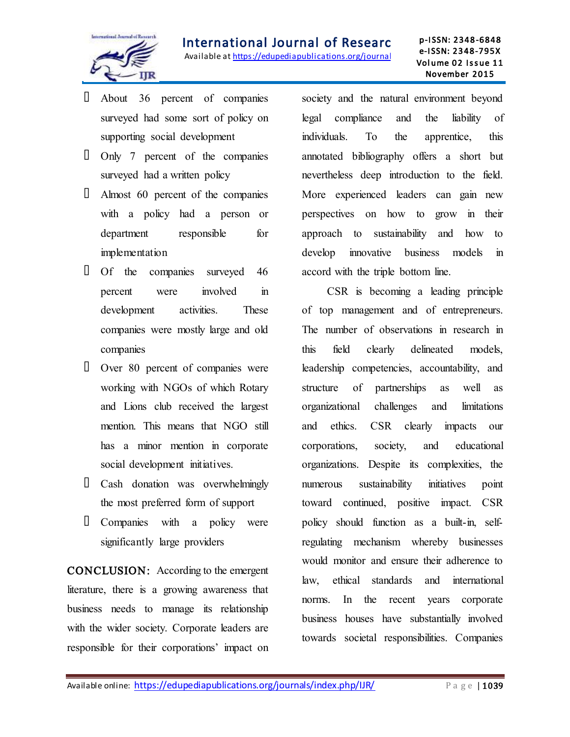

- About 36 percent of companies surveyed had some sort of policy on supporting social development
- $\Box$  Only 7 percent of the companies surveyed had a written policy
- Almost 60 percent of the companies with a policy had a person or department responsible for implementation
- Of the companies surveyed 46 percent were involved in development activities. These companies were mostly large and old companies
- Over 80 percent of companies were working with NGOs of which Rotary and Lions club received the largest mention. This means that NGO still has a minor mention in corporate social development initiatives.
- Cash donation was overwhelmingly the most preferred form of support
- Companies with a policy were significantly large providers

CONCLUSION: According to the emergent literature, there is a growing awareness that business needs to manage its relationship with the wider society. Corporate leaders are responsible for their corporations' impact on society and the natural environment beyond legal compliance and the liability of individuals. To the apprentice, this annotated bibliography offers a short but nevertheless deep introduction to the field. More experienced leaders can gain new perspectives on how to grow in their approach to sustainability and how to develop innovative business models in accord with the triple bottom line.

CSR is becoming a leading principle of top management and of entrepreneurs. The number of observations in research in this field clearly delineated models, leadership competencies, accountability, and structure of partnerships as well as organizational challenges and limitations and ethics. CSR clearly impacts our corporations, society, and educational organizations. Despite its complexities, the numerous sustainability initiatives point toward continued, positive impact. CSR policy should function as a built-in, selfregulating mechanism whereby businesses would monitor and ensure their adherence to law, ethical standards and international norms. In the recent years corporate business houses have substantially involved towards societal responsibilities. Companies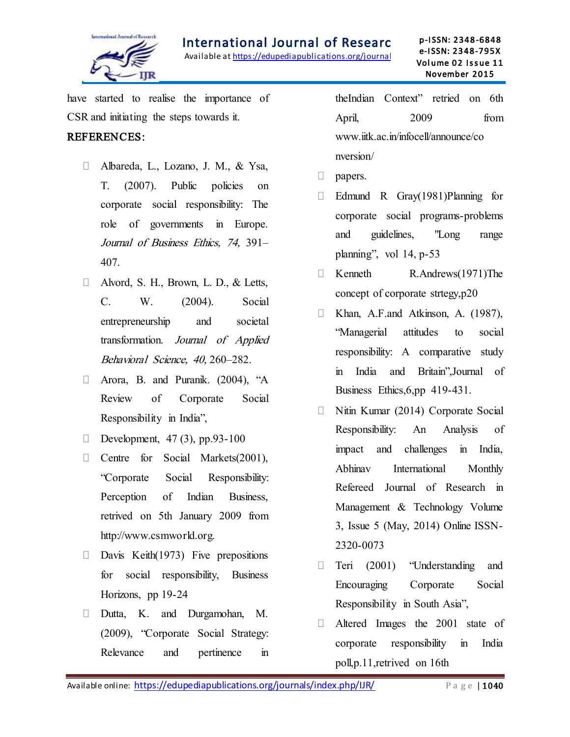

have started to realise the importance of CSR and initiating the steps towards it.

#### REFERENCES:

- Albareda, L., Lozano, J. M., & Ysa, T. (2007). Public policies on corporate social responsibility: The role of governments in Europe. Journal of Business Ethics, 74, 391– 407.
- Alvord, S. H., Brown, L. D., & Letts, C. W. (2004). Social entrepreneurship and societal transformation. Journal of Applied Behavioral Science, 40, 260–282.
- Arora, B. and Puranik. (2004), "A Review of Corporate Social Responsibility in India",
- Development,  $47(3)$ , pp.93-100
- Centre for Social Markets(2001), "Corporate Social Responsibility: Perception of Indian Business, retrived on 5th January 2009 from http://www.csmworld.org.
- $\Box$  Davis Keith(1973) Five prepositions for social responsibility, Business Horizons, pp 19-24
- Dutta, K. and Durgamohan, M. (2009), "Corporate Social Strategy: Relevance and pertinence in

theIndian Context" retried on 6th April, 2009 from www.iitk.ac.in/infocell/announce/co nversion/

- **papers.**
- Edmund R Gray(1981)Planning for corporate social programs-problems and guidelines, "Long range planning", vol 14, p-53
- Kenneth R.Andrews(1971)The concept of corporate strtegy,p20
- Khan, A.F.and Atkinson, A. (1987), "Managerial attitudes to social responsibility: A comparative study in India and Britain",Journal of Business Ethics,6,pp 419-431.
- Nitin Kumar (2014) Corporate Social Responsibility: An Analysis of impact and challenges in India, Abhinav International Monthly Refereed Journal of Research in Management & Technology Volume 3, Issue 5 (May, 2014) Online ISSN-2320-0073
- Teri (2001) "Understanding and Encouraging Corporate Social Responsibility in South Asia",
- Altered Images the 2001 state of corporate responsibility in India poll,p.11,retrived on 16th